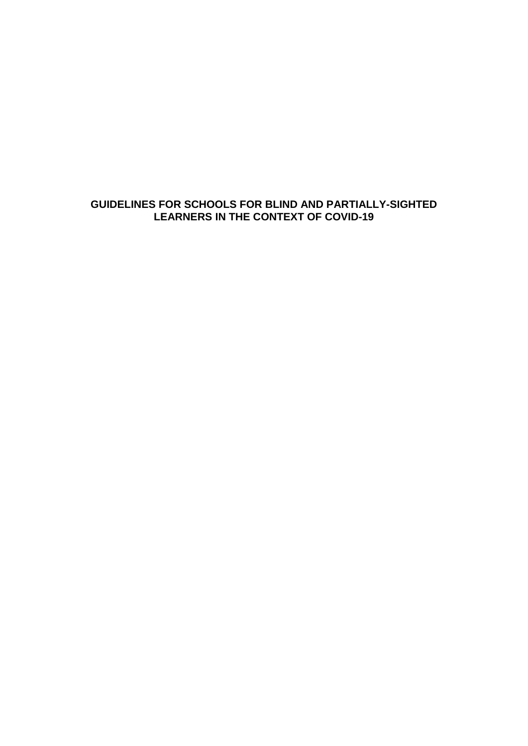# **GUIDELINES FOR SCHOOLS FOR BLIND AND PARTIALLY-SIGHTED LEARNERS IN THE CONTEXT OF COVID-19**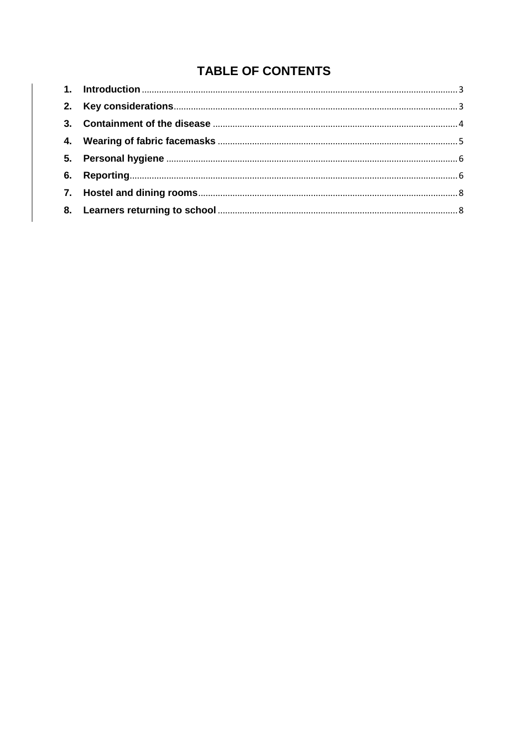# **TABLE OF CONTENTS**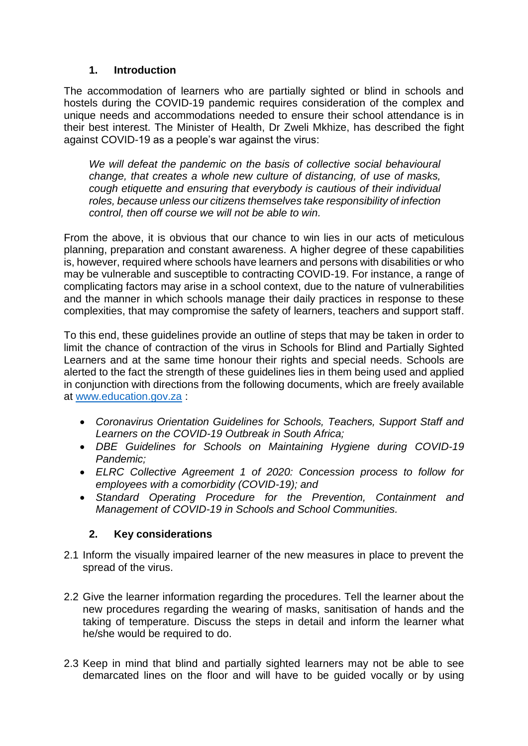### **1. Introduction**

<span id="page-2-0"></span>The accommodation of learners who are partially sighted or blind in schools and hostels during the COVID-19 pandemic requires consideration of the complex and unique needs and accommodations needed to ensure their school attendance is in their best interest. The Minister of Health, Dr Zweli Mkhize, has described the fight against COVID-19 as a people's war against the virus:

*We will defeat the pandemic on the basis of collective social behavioural change, that creates a whole new culture of distancing, of use of masks, cough etiquette and ensuring that everybody is cautious of their individual roles, because unless our citizens themselves take responsibility of infection control, then off course we will not be able to win.* 

From the above, it is obvious that our chance to win lies in our acts of meticulous planning, preparation and constant awareness. A higher degree of these capabilities is, however, required where schools have learners and persons with disabilities or who may be vulnerable and susceptible to contracting COVID-19. For instance, a range of complicating factors may arise in a school context, due to the nature of vulnerabilities and the manner in which schools manage their daily practices in response to these complexities, that may compromise the safety of learners, teachers and support staff.

To this end, these guidelines provide an outline of steps that may be taken in order to limit the chance of contraction of the virus in Schools for Blind and Partially Sighted Learners and at the same time honour their rights and special needs. Schools are alerted to the fact the strength of these guidelines lies in them being used and applied in conjunction with directions from the following documents, which are freely available at [www.education.gov.za](http://www.education.gov.za/) :

- *Coronavirus Orientation Guidelines for Schools, Teachers, Support Staff and Learners on the COVID-19 Outbreak in South Africa;*
- *DBE Guidelines for Schools on Maintaining Hygiene during COVID-19 Pandemic;*
- *ELRC Collective Agreement 1 of 2020: Concession process to follow for employees with a comorbidity (COVID-19); and*
- *Standard Operating Procedure for the Prevention, Containment and Management of COVID-19 in Schools and School Communities.*

## **2. Key considerations**

- <span id="page-2-1"></span>2.1 Inform the visually impaired learner of the new measures in place to prevent the spread of the virus.
- 2.2 Give the learner information regarding the procedures. Tell the learner about the new procedures regarding the wearing of masks, sanitisation of hands and the taking of temperature. Discuss the steps in detail and inform the learner what he/she would be required to do.
- 2.3 Keep in mind that blind and partially sighted learners may not be able to see demarcated lines on the floor and will have to be guided vocally or by using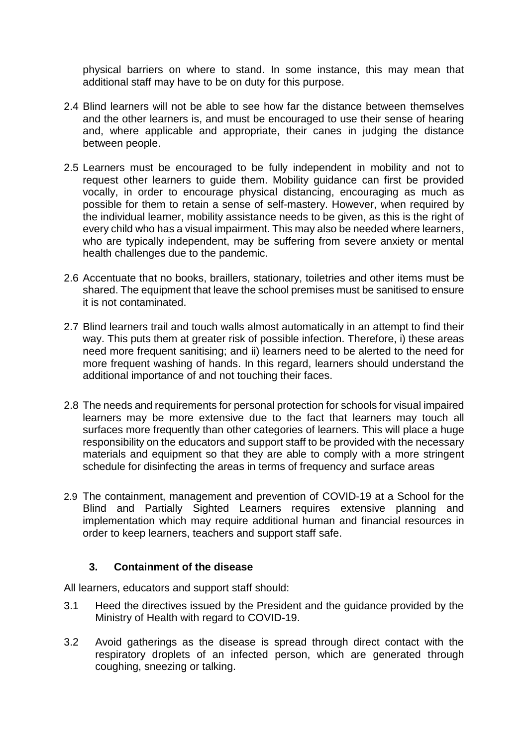physical barriers on where to stand. In some instance, this may mean that additional staff may have to be on duty for this purpose.

- 2.4 Blind learners will not be able to see how far the distance between themselves and the other learners is, and must be encouraged to use their sense of hearing and, where applicable and appropriate, their canes in judging the distance between people.
- 2.5 Learners must be encouraged to be fully independent in mobility and not to request other learners to guide them. Mobility guidance can first be provided vocally, in order to encourage physical distancing, encouraging as much as possible for them to retain a sense of self-mastery. However, when required by the individual learner, mobility assistance needs to be given, as this is the right of every child who has a visual impairment. This may also be needed where learners, who are typically independent, may be suffering from severe anxiety or mental health challenges due to the pandemic.
- 2.6 Accentuate that no books, braillers, stationary, toiletries and other items must be shared. The equipment that leave the school premises must be sanitised to ensure it is not contaminated.
- 2.7 Blind learners trail and touch walls almost automatically in an attempt to find their way. This puts them at greater risk of possible infection. Therefore, i) these areas need more frequent sanitising; and ii) learners need to be alerted to the need for more frequent washing of hands. In this regard, learners should understand the additional importance of and not touching their faces.
- 2.8 The needs and requirements for personal protection for schools for visual impaired learners may be more extensive due to the fact that learners may touch all surfaces more frequently than other categories of learners. This will place a huge responsibility on the educators and support staff to be provided with the necessary materials and equipment so that they are able to comply with a more stringent schedule for disinfecting the areas in terms of frequency and surface areas
- 2.9 The containment, management and prevention of COVID-19 at a School for the Blind and Partially Sighted Learners requires extensive planning and implementation which may require additional human and financial resources in order to keep learners, teachers and support staff safe.

#### **3. Containment of the disease**

<span id="page-3-0"></span>All learners, educators and support staff should:

- 3.1 Heed the directives issued by the President and the guidance provided by the Ministry of Health with regard to COVID-19.
- 3.2 Avoid gatherings as the disease is spread through direct contact with the respiratory droplets of an infected person, which are generated through coughing, sneezing or talking.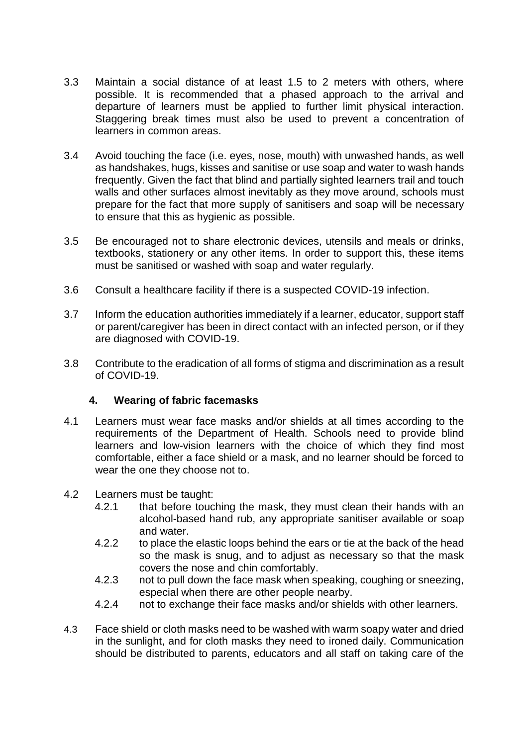- 3.3 Maintain a social distance of at least 1.5 to 2 meters with others, where possible. It is recommended that a phased approach to the arrival and departure of learners must be applied to further limit physical interaction. Staggering break times must also be used to prevent a concentration of learners in common areas.
- 3.4 Avoid touching the face (i.e. eyes, nose, mouth) with unwashed hands, as well as handshakes, hugs, kisses and sanitise or use soap and water to wash hands frequently. Given the fact that blind and partially sighted learners trail and touch walls and other surfaces almost inevitably as they move around, schools must prepare for the fact that more supply of sanitisers and soap will be necessary to ensure that this as hygienic as possible.
- 3.5 Be encouraged not to share electronic devices, utensils and meals or drinks, textbooks, stationery or any other items. In order to support this, these items must be sanitised or washed with soap and water regularly.
- 3.6 Consult a healthcare facility if there is a suspected COVID-19 infection.
- 3.7 Inform the education authorities immediately if a learner, educator, support staff or parent/caregiver has been in direct contact with an infected person, or if they are diagnosed with COVID-19.
- 3.8 Contribute to the eradication of all forms of stigma and discrimination as a result of COVID-19.

## **4. Wearing of fabric facemasks**

- <span id="page-4-0"></span>4.1 Learners must wear face masks and/or shields at all times according to the requirements of the Department of Health. Schools need to provide blind learners and low-vision learners with the choice of which they find most comfortable, either a face shield or a mask, and no learner should be forced to wear the one they choose not to.
- 4.2 Learners must be taught:
	- 4.2.1 that before touching the mask, they must clean their hands with an alcohol-based hand rub, any appropriate sanitiser available or soap and water.
	- 4.2.2 to place the elastic loops behind the ears or tie at the back of the head so the mask is snug, and to adjust as necessary so that the mask covers the nose and chin comfortably.
	- 4.2.3 not to pull down the face mask when speaking, coughing or sneezing, especial when there are other people nearby.
	- 4.2.4 not to exchange their face masks and/or shields with other learners.
- 4.3 Face shield or cloth masks need to be washed with warm soapy water and dried in the sunlight, and for cloth masks they need to ironed daily. Communication should be distributed to parents, educators and all staff on taking care of the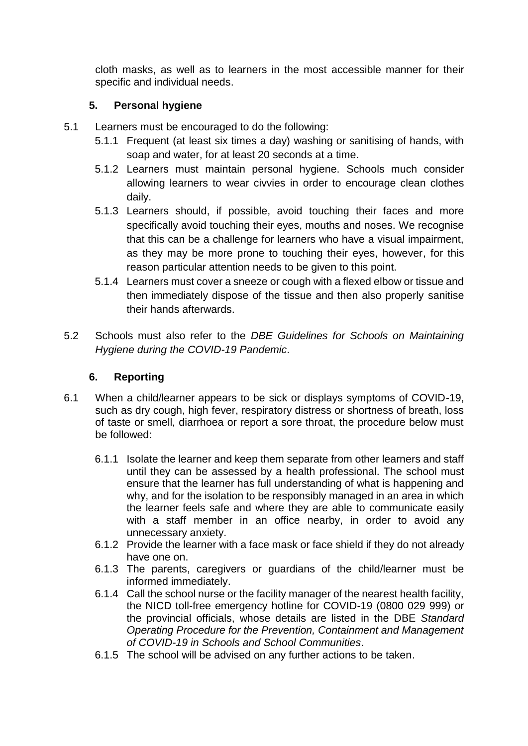cloth masks, as well as to learners in the most accessible manner for their specific and individual needs.

# **5. Personal hygiene**

- <span id="page-5-0"></span>5.1 Learners must be encouraged to do the following:
	- 5.1.1 Frequent (at least six times a day) washing or sanitising of hands, with soap and water, for at least 20 seconds at a time.
	- 5.1.2 Learners must maintain personal hygiene. Schools much consider allowing learners to wear civvies in order to encourage clean clothes daily.
	- 5.1.3 Learners should, if possible, avoid touching their faces and more specifically avoid touching their eyes, mouths and noses. We recognise that this can be a challenge for learners who have a visual impairment, as they may be more prone to touching their eyes, however, for this reason particular attention needs to be given to this point.
	- 5.1.4 Learners must cover a sneeze or cough with a flexed elbow or tissue and then immediately dispose of the tissue and then also properly sanitise their hands afterwards.
- 5.2 Schools must also refer to the *DBE Guidelines for Schools on Maintaining Hygiene during the COVID-19 Pandemic*.

## **6. Reporting**

- <span id="page-5-1"></span>6.1 When a child/learner appears to be sick or displays symptoms of COVID-19, such as dry cough, high fever, respiratory distress or shortness of breath, loss of taste or smell, diarrhoea or report a sore throat, the procedure below must be followed:
	- 6.1.1 Isolate the learner and keep them separate from other learners and staff until they can be assessed by a health professional. The school must ensure that the learner has full understanding of what is happening and why, and for the isolation to be responsibly managed in an area in which the learner feels safe and where they are able to communicate easily with a staff member in an office nearby, in order to avoid any unnecessary anxiety.
	- 6.1.2 Provide the learner with a face mask or face shield if they do not already have one on.
	- 6.1.3 The parents, caregivers or guardians of the child/learner must be informed immediately.
	- 6.1.4 Call the school nurse or the facility manager of the nearest health facility, the NICD toll-free emergency hotline for COVID-19 (0800 029 999) or the provincial officials, whose details are listed in the DBE *Standard Operating Procedure for the Prevention, Containment and Management of COVID-19 in Schools and School Communities*.
	- 6.1.5 The school will be advised on any further actions to be taken.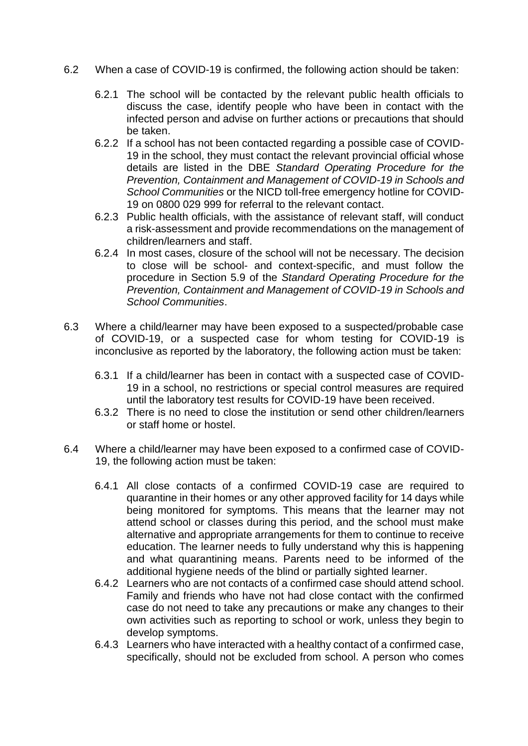- 6.2 When a case of COVID-19 is confirmed, the following action should be taken:
	- 6.2.1 The school will be contacted by the relevant public health officials to discuss the case, identify people who have been in contact with the infected person and advise on further actions or precautions that should be taken.
	- 6.2.2 If a school has not been contacted regarding a possible case of COVID-19 in the school, they must contact the relevant provincial official whose details are listed in the DBE *Standard Operating Procedure for the Prevention, Containment and Management of COVID-19 in Schools and School Communities* or the NICD toll-free emergency hotline for COVID-19 on 0800 029 999 for referral to the relevant contact.
	- 6.2.3 Public health officials, with the assistance of relevant staff, will conduct a risk-assessment and provide recommendations on the management of children/learners and staff.
	- 6.2.4 In most cases, closure of the school will not be necessary. The decision to close will be school- and context-specific, and must follow the procedure in Section 5.9 of the *Standard Operating Procedure for the Prevention, Containment and Management of COVID-19 in Schools and School Communities*.
- 6.3 Where a child/learner may have been exposed to a suspected/probable case of COVID-19, or a suspected case for whom testing for COVID-19 is inconclusive as reported by the laboratory, the following action must be taken:
	- 6.3.1 If a child/learner has been in contact with a suspected case of COVID-19 in a school, no restrictions or special control measures are required until the laboratory test results for COVID-19 have been received.
	- 6.3.2 There is no need to close the institution or send other children/learners or staff home or hostel.
- 6.4 Where a child/learner may have been exposed to a confirmed case of COVID-19, the following action must be taken:
	- 6.4.1 All close contacts of a confirmed COVID-19 case are required to quarantine in their homes or any other approved facility for 14 days while being monitored for symptoms. This means that the learner may not attend school or classes during this period, and the school must make alternative and appropriate arrangements for them to continue to receive education. The learner needs to fully understand why this is happening and what quarantining means. Parents need to be informed of the additional hygiene needs of the blind or partially sighted learner.
	- 6.4.2 Learners who are not contacts of a confirmed case should attend school. Family and friends who have not had close contact with the confirmed case do not need to take any precautions or make any changes to their own activities such as reporting to school or work, unless they begin to develop symptoms.
	- 6.4.3 Learners who have interacted with a healthy contact of a confirmed case, specifically, should not be excluded from school. A person who comes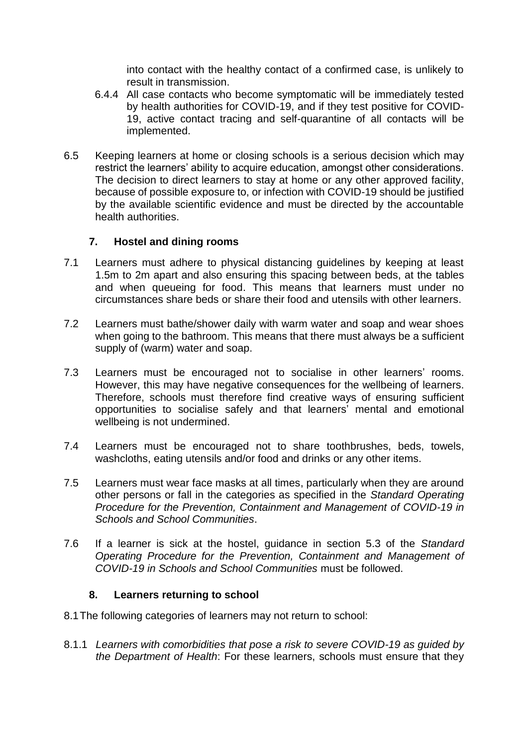into contact with the healthy contact of a confirmed case, is unlikely to result in transmission.

- 6.4.4 All case contacts who become symptomatic will be immediately tested by health authorities for COVID-19, and if they test positive for COVID-19, active contact tracing and self-quarantine of all contacts will be implemented.
- 6.5 Keeping learners at home or closing schools is a serious decision which may restrict the learners' ability to acquire education, amongst other considerations. The decision to direct learners to stay at home or any other approved facility, because of possible exposure to, or infection with COVID-19 should be justified by the available scientific evidence and must be directed by the accountable health authorities.

#### **7. Hostel and dining rooms**

- <span id="page-7-0"></span>7.1 Learners must adhere to physical distancing guidelines by keeping at least 1.5m to 2m apart and also ensuring this spacing between beds, at the tables and when queueing for food. This means that learners must under no circumstances share beds or share their food and utensils with other learners.
- 7.2 Learners must bathe/shower daily with warm water and soap and wear shoes when going to the bathroom. This means that there must always be a sufficient supply of (warm) water and soap.
- 7.3 Learners must be encouraged not to socialise in other learners' rooms. However, this may have negative consequences for the wellbeing of learners. Therefore, schools must therefore find creative ways of ensuring sufficient opportunities to socialise safely and that learners' mental and emotional wellbeing is not undermined.
- 7.4 Learners must be encouraged not to share toothbrushes, beds, towels, washcloths, eating utensils and/or food and drinks or any other items.
- 7.5 Learners must wear face masks at all times, particularly when they are around other persons or fall in the categories as specified in the *Standard Operating Procedure for the Prevention, Containment and Management of COVID-19 in Schools and School Communities*.
- 7.6 If a learner is sick at the hostel, guidance in section 5.3 of the *Standard Operating Procedure for the Prevention, Containment and Management of COVID-19 in Schools and School Communities* must be followed.

#### **8. Learners returning to school**

- <span id="page-7-1"></span>8.1The following categories of learners may not return to school:
- 8.1.1 *Learners with comorbidities that pose a risk to severe COVID-19 as guided by the Department of Health*: For these learners, schools must ensure that they